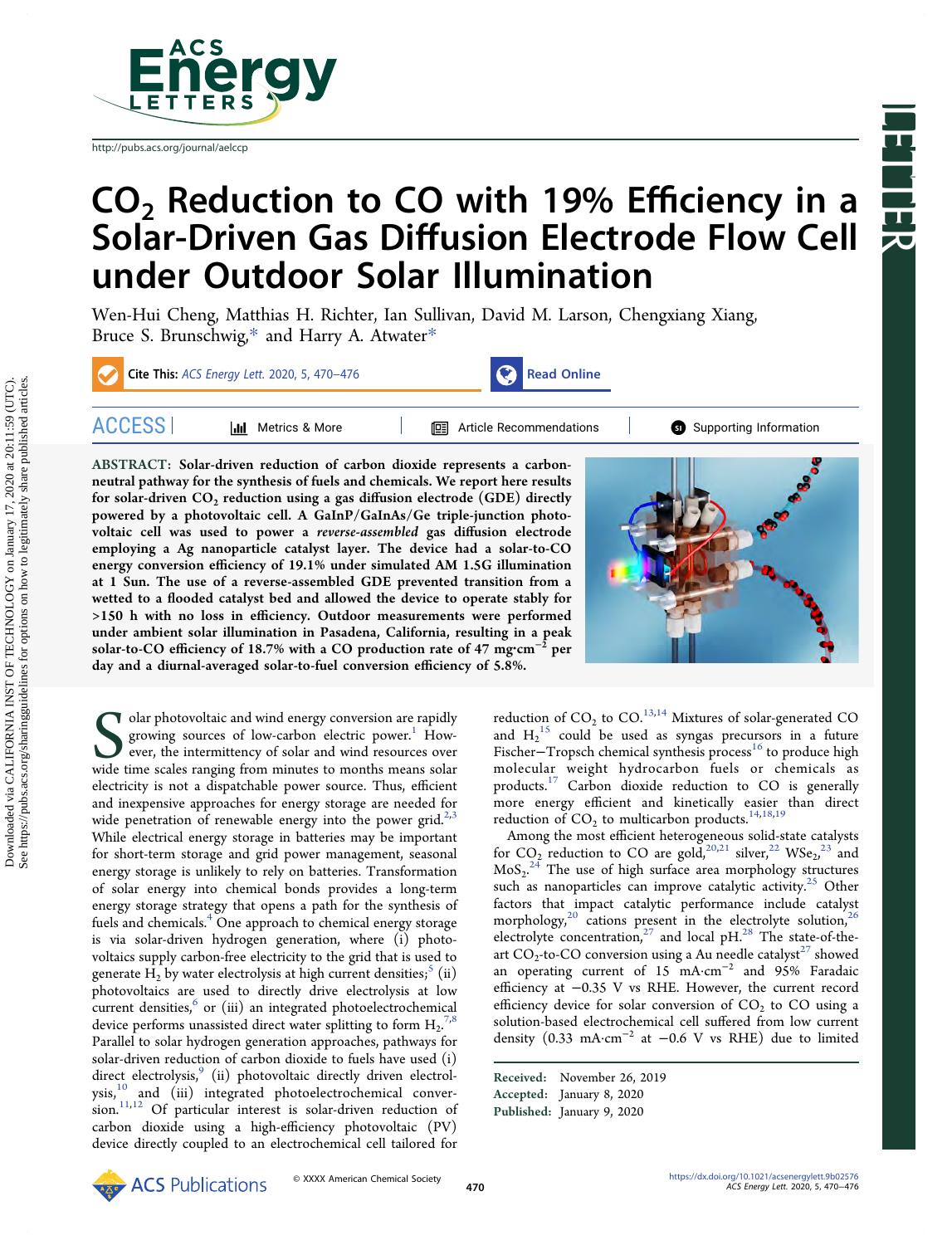

[http://pubs.acs.org/journal/aelccp](http://pubs.acs.org/journal/aelccp?ref=pdf)

# $CO<sub>2</sub>$  Reduction to CO with 19% Efficiency in a Solar-Driven Gas Diffusion Electrode Flow Cell under Outdoor Solar Illumination

[Wen-Hui Cheng,](https://pubs.acs.org/action/doSearch?field1=Contrib&text1="Wen-Hui+Cheng"&field2=AllField&text2=&publication=&accessType=allContent&Earliest=&ref=pdf) [Matthias H. Richter,](https://pubs.acs.org/action/doSearch?field1=Contrib&text1="Matthias+H.+Richter"&field2=AllField&text2=&publication=&accessType=allContent&Earliest=&ref=pdf) [Ian Sullivan,](https://pubs.acs.org/action/doSearch?field1=Contrib&text1="Ian+Sullivan"&field2=AllField&text2=&publication=&accessType=allContent&Earliest=&ref=pdf) [David M. Larson,](https://pubs.acs.org/action/doSearch?field1=Contrib&text1="David+M.+Larson"&field2=AllField&text2=&publication=&accessType=allContent&Earliest=&ref=pdf) [Chengxiang Xiang,](https://pubs.acs.org/action/doSearch?field1=Contrib&text1="Chengxiang+Xiang"&field2=AllField&text2=&publication=&accessType=allContent&Earliest=&ref=pdf) [Bruce S. Brunschwig,](https://pubs.acs.org/action/doSearch?field1=Contrib&text1="Bruce+S.+Brunschwig"&field2=AllField&text2=&publication=&accessType=allContent&Earliest=&ref=pdf)[\\*](#page-4-0) [and Harry A. Atwater](https://pubs.acs.org/action/doSearch?field1=Contrib&text1="Harry+A.+Atwater"&field2=AllField&text2=&publication=&accessType=allContent&Earliest=&ref=pdf)[\\*](#page-4-0)

Cite This: ACS Energy Lett. [2020, 5, 470](https://pubs.acs.org/action/showCitFormats?doi=10.1021/acsenergylett.9b02576&ref=pdf)–476 [Read Online](https://pubs.acs.org/doi/10.1021/acsenergylett.9b02576?ref=pdf)



ACCESS [Metrics & More](https://pubs.acs.org/doi/10.1021/acsenergylett.9b02576?goto=articleMetrics&ref=pdf) [Article Recommendations](https://pubs.acs.org/doi/10.1021/acsenergylett.9b02576?goto=recommendations&?ref=pdf) \*s<sup>ı</sup> [Supporting Information](https://pubs.acs.org/doi/10.1021/acsenergylett.9b02576?goto=supporting-info&ref=pdf)

Letter

ABSTRACT: Solar-driven reduction of carbon dioxide represents a carbonneutral pathway for the synthesis of fuels and chemicals. We report here results for solar-driven  $CO_2$  reduction using a gas diffusion electrode (GDE) directly powered by a photovoltaic cell. A GaInP/GaInAs/Ge triple-junction photovoltaic cell was used to power a reverse-assembled gas diffusion electrode employing a Ag nanoparticle catalyst layer. The device had a solar-to-CO energy conversion efficiency of 19.1% under simulated AM 1.5G illumination at 1 Sun. The use of a reverse-assembled GDE prevented transition from a wetted to a flooded catalyst bed and allowed the device to operate stably for >150 h with no loss in efficiency. Outdoor measurements were performed under ambient solar illumination in Pasadena, California, resulting in a peak solar-to-CO efficiency of 18.7% with a CO production rate of 47 mg·cm<sup>-2</sup> per day and a diurnal-averaged solar-to-fuel conversion efficiency of 5.8%.



Solar photovoltaic and wind energy conversion are rapidly growing sources of low-carbon electric power.<sup>1</sup> However, the intermittency of solar and wind resources over wide time scales ranging from minutes to months means s  $\blacktriangleright$  olar photovoltaic and wind energy conversion are rapidly growing sources of low-carbon electric power.<sup>1</sup> However, the intermittency of solar and wind resources over wide time scales ranging from minutes to months means solar electricity is not a dispatchable power source. Thus, efficient and inexpensive approaches for energy storage are needed for wide penetration of renewable energy into the power grid. $2,3$  $2,3$  $2,3$ While electrical energy storage in batteries may be important for short-term storage and grid power management, seasonal energy storage is unlikely to rely on batteries. Transformation of solar energy into chemical bonds provides a long-term energy storage strategy that opens a path for the synthesis of fuels and chemicals.<sup>4</sup> One approach to chemical energy storage is via solar-driven hydrogen generation, where (i) photovoltaics supply carbon-free electricity to the grid that is used to generate H<sub>2</sub> by water electrolysis at high current densities;<sup>5</sup> (ii) photovoltaics are used to directly drive electrolysis at low current densities, $\degree$  or (iii) an integrated photoelectrochemical device performs unassisted direct water splitting to form  $\text{H}_{2}$ .<sup>[7](#page-5-0),[8](#page-5-0)</sup> Parallel to solar hydrogen generation approaches, pathways for solar-driven reduction of carbon dioxide to fuels have used (i) direct electrolysis, $9$  (ii) photovoltaic directly driven electrol-ysis,<sup>[10](#page-5-0)</sup> and (iii) integrated photoelectrochemical conver- $\sum_{i=1}^{n}$  of particular interest is solar-driven reduction of carbon dioxide using a high-efficiency photovoltaic (PV) device directly coupled to an electrochemical cell tailored for

reduction of  $CO_2$  to  $CO$ .<sup>[13,14](#page-5-0)</sup> Mixtures of solar-generated CO and  $H_2$ <sup>[15](#page-5-0)</sup> could be used as syngas precursors in a future Fischer-Tropsch chemical synthesis process<sup>[16](#page-5-0)</sup> to produce high molecular weight hydrocarbon fuels or chemicals as products.[17](#page-5-0) Carbon dioxide reduction to CO is generally more energy efficient and kinetically easier than direct reduction of  $CO<sub>2</sub>$  to multicarbon products.<sup>14,[18,19](#page-5-0)</sup>

Among the most efficient heterogeneous solid-state catalysts for CO<sub>2</sub> reduction to CO are gold,<sup>20,[21](#page-5-0)</sup> silver,<sup>22</sup> WSe<sub>2</sub>,<sup>[23](#page-5-0)</sup> and  $\text{MoS}_{2}^{24}$  $\text{MoS}_{2}^{24}$  $\text{MoS}_{2}^{24}$  The use of high surface area morphology structures such as nanoparticles can improve catalytic activity.<sup>[25](#page-5-0)</sup> Other factors that impact catalytic performance include catalyst morphology,<sup>[20](#page-5-0)</sup> cations present in the electrolyte solution,<sup>26</sup> electrolyte concentration,<sup>[27](#page-5-0)</sup> and local pH.<sup>[28](#page-5-0)</sup> The state-of-theart  $CO_2$ -to-CO conversion using a Au needle catalyst<sup>27</sup> showed an operating current of 15 mA·cm<sup>−</sup><sup>2</sup> and 95% Faradaic efficiency at −0.35 V vs RHE. However, the current record efficiency device for solar conversion of  $CO<sub>2</sub>$  to CO using a solution-based electrochemical cell suffered from low current density (0.33 mA·cm<sup>−</sup><sup>2</sup> at −0.6 V vs RHE) due to limited

Received: November 26, 2019 Accepted: January 8, 2020 Published: January 9, 2020

See https://pubs.acs.org/sharingguidelines for options on how to legitimately share published articles.Downloaded via CALIFORNIA INST OF TECHNOLOGY on January 17, 2020 at 20:11:59 (UTC).<br>See https://pubs.acs.org/sharingguidelines for options on how to legitimately share published articles. Downloaded via CALIFORNIA INST OF TECHNOLOGY on January 17, 2020 at 20:11:59 (UTC).

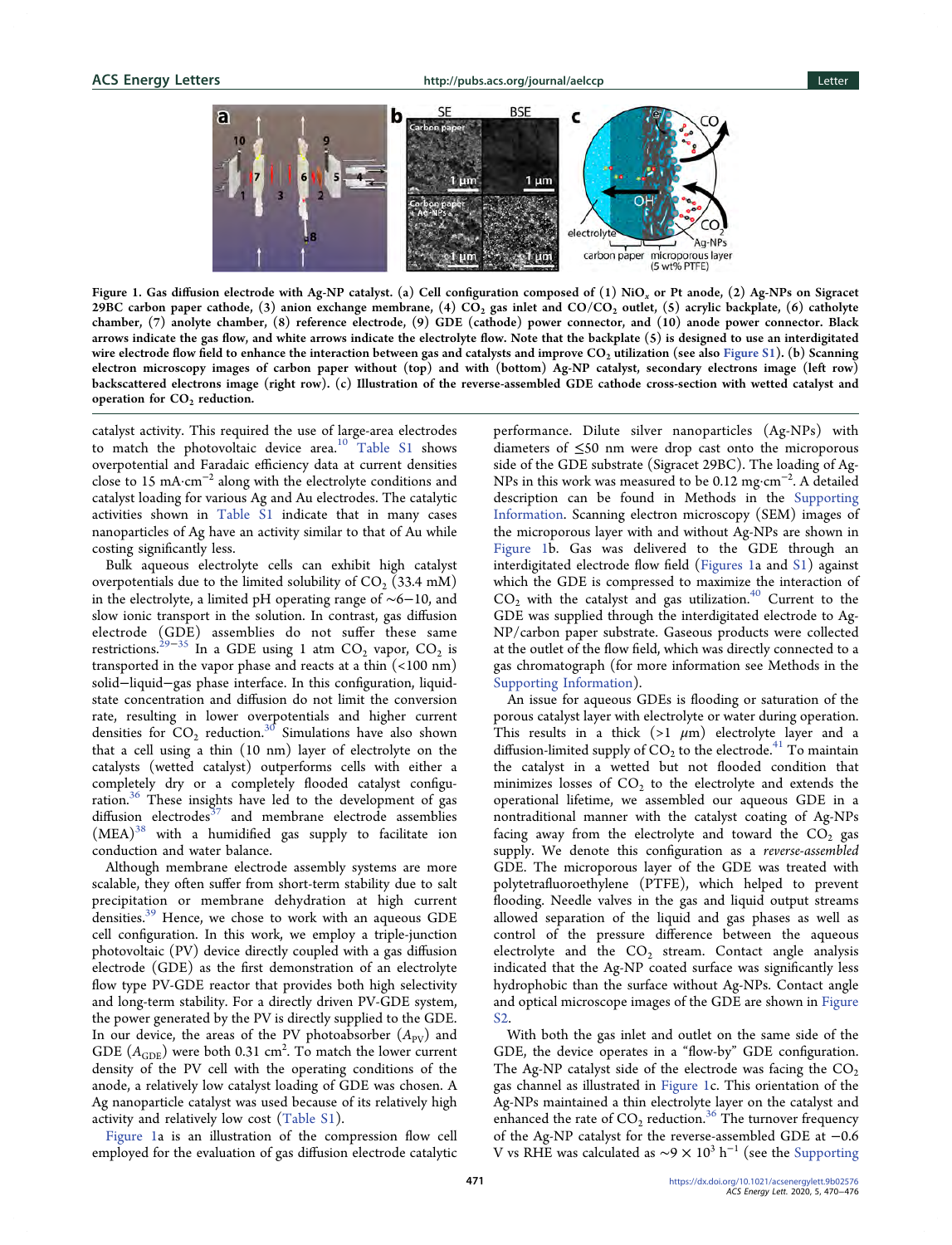а

**RSF** b C  $1 \mu m$ electrolyt Ag-NPs carbon paper microporous layer (5 wt% PTFE)

Figure 1. Gas diffusion electrode with Ag-NP catalyst. (a) Cell configuration composed of  $(1)$  NiO<sub>x</sub> or Pt anode,  $(2)$  Ag-NPs on Sigracet 29BC carbon paper cathode, (3) anion exchange membrane, (4)  $CO_2$  gas inlet and  $CO/CO_2$  outlet, (5) acrylic backplate, (6) catholyte chamber, (7) anolyte chamber, (8) reference electrode, (9) GDE (cathode) power connector, and (10) anode power connector. Black arrows indicate the gas flow, and white arrows indicate the electrolyte flow. Note that the backplate (5) is designed to use an interdigitated wire electrode flow field to enhance the interaction between gas and catalysts and improve CO<sub>2</sub> utilization (see also [Figure S1\)](http://pubs.acs.org/doi/suppl/10.1021/acsenergylett.9b02576/suppl_file/nz9b02576_si_001.pdf). (b) Scanning electron microscopy images of carbon paper without (top) and with (bottom) Ag-NP catalyst, secondary electrons image (left row) backscattered electrons image (right row). (c) Illustration of the reverse-assembled GDE cathode cross-section with wetted catalyst and operation for  $CO<sub>2</sub>$  reduction.

catalyst activity. This required the use of large-area electrodes to match the photovoltaic device area.<sup>[10](#page-5-0)</sup> [Table S1](http://pubs.acs.org/doi/suppl/10.1021/acsenergylett.9b02576/suppl_file/nz9b02576_si_001.pdf) shows overpotential and Faradaic efficiency data at current densities close to 15 mA·cm<sup>−</sup><sup>2</sup> along with the electrolyte conditions and catalyst loading for various Ag and Au electrodes. The catalytic activities shown in [Table S1](http://pubs.acs.org/doi/suppl/10.1021/acsenergylett.9b02576/suppl_file/nz9b02576_si_001.pdf) indicate that in many cases nanoparticles of Ag have an activity similar to that of Au while costing significantly less.

Bulk aqueous electrolyte cells can exhibit high catalyst overpotentials due to the limited solubility of  $CO<sub>2</sub>$  (33.4 mM) in the electrolyte, a limited pH operating range of ∼6−10, and slow ionic transport in the solution. In contrast, gas diffusion electrode (GDE) assemblies do not suffer these same restrictions.<sup>[29](#page-5-0)−[35](#page-5-0)</sup> In a GDE using 1 atm CO<sub>2</sub> vapor, CO<sub>2</sub> is transported in the vapor phase and reacts at a thin (<100 nm) solid−liquid−gas phase interface. In this configuration, liquidstate concentration and diffusion do not limit the conversion rate, resulting in lower overpotentials and higher current densities for  $CO_2$  reduction.<sup>[30](#page-5-0)</sup> Simulations have also shown that a cell using a thin (10 nm) layer of electrolyte on the catalysts (wetted catalyst) outperforms cells with either a completely dry or a completely flooded catalyst configuration.<sup>36</sup> These insights have led to the development of gas diffusion electrodes $37$  and membrane electrode assemblies  $(MEA)^{38}$  $(MEA)^{38}$  $(MEA)^{38}$  with a humidified gas supply to facilitate ion conduction and water balance.

Although membrane electrode assembly systems are more scalable, they often suffer from short-term stability due to salt precipitation or membrane dehydration at high current densities.<sup>39</sup> Hence, we chose to work with an aqueous GDE cell configuration. In this work, we employ a triple-junction photovoltaic (PV) device directly coupled with a gas diffusion electrode (GDE) as the first demonstration of an electrolyte flow type PV-GDE reactor that provides both high selectivity and long-term stability. For a directly driven PV-GDE system, the power generated by the PV is directly supplied to the GDE. In our device, the areas of the PV photoabsorber  $(A_{PV})$  and GDE  $(A_{\text{GDE}})$  were both 0.31 cm<sup>2</sup>. To match the lower current density of the PV cell with the operating conditions of the anode, a relatively low catalyst loading of GDE was chosen. A Ag nanoparticle catalyst was used because of its relatively high activity and relatively low cost ([Table S1](http://pubs.acs.org/doi/suppl/10.1021/acsenergylett.9b02576/suppl_file/nz9b02576_si_001.pdf)).

Figure 1a is an illustration of the compression flow cell employed for the evaluation of gas diffusion electrode catalytic performance. Dilute silver nanoparticles (Ag-NPs) with diameters of ≤50 nm were drop cast onto the microporous side of the GDE substrate (Sigracet 29BC). The loading of Ag-NPs in this work was measured to be 0.12 mg·cm<sup>−</sup><sup>2</sup> . A detailed description can be found in Methods in the [Supporting](http://pubs.acs.org/doi/suppl/10.1021/acsenergylett.9b02576/suppl_file/nz9b02576_si_001.pdf) [Information](http://pubs.acs.org/doi/suppl/10.1021/acsenergylett.9b02576/suppl_file/nz9b02576_si_001.pdf). Scanning electron microscopy (SEM) images of the microporous layer with and without Ag-NPs are shown in Figure 1b. Gas was delivered to the GDE through an interdigitated electrode flow field (Figures 1a and [S1\)](http://pubs.acs.org/doi/suppl/10.1021/acsenergylett.9b02576/suppl_file/nz9b02576_si_001.pdf) against which the GDE is compressed to maximize the interaction of  $CO<sub>2</sub>$  with the catalyst and gas utilization.<sup>[40](#page-6-0)</sup> Current to the GDE was supplied through the interdigitated electrode to Ag-NP/carbon paper substrate. Gaseous products were collected at the outlet of the flow field, which was directly connected to a gas chromatograph (for more information see Methods in the [Supporting Information](http://pubs.acs.org/doi/suppl/10.1021/acsenergylett.9b02576/suppl_file/nz9b02576_si_001.pdf)).

An issue for aqueous GDEs is flooding or saturation of the porous catalyst layer with electrolyte or water during operation. This results in a thick  $(>1 \mu m)$  electrolyte layer and a diffusion-limited supply of  $CO<sub>2</sub>$  to the electrode.<sup>[41](#page-6-0)</sup> To maintain the catalyst in a wetted but not flooded condition that minimizes losses of  $CO<sub>2</sub>$  to the electrolyte and extends the operational lifetime, we assembled our aqueous GDE in a nontraditional manner with the catalyst coating of Ag-NPs facing away from the electrolyte and toward the  $CO<sub>2</sub>$  gas supply. We denote this configuration as a reverse-assembled GDE. The microporous layer of the GDE was treated with polytetrafluoroethylene (PTFE), which helped to prevent flooding. Needle valves in the gas and liquid output streams allowed separation of the liquid and gas phases as well as control of the pressure difference between the aqueous electrolyte and the  $CO<sub>2</sub>$  stream. Contact angle analysis indicated that the Ag-NP coated surface was significantly less hydrophobic than the surface without Ag-NPs. Contact angle and optical microscope images of the GDE are shown in [Figure](http://pubs.acs.org/doi/suppl/10.1021/acsenergylett.9b02576/suppl_file/nz9b02576_si_001.pdf) [S2](http://pubs.acs.org/doi/suppl/10.1021/acsenergylett.9b02576/suppl_file/nz9b02576_si_001.pdf).

With both the gas inlet and outlet on the same side of the GDE, the device operates in a "flow-by" GDE configuration. The Ag-NP catalyst side of the electrode was facing the  $CO<sub>2</sub>$ gas channel as illustrated in Figure 1c. This orientation of the Ag-NPs maintained a thin electrolyte layer on the catalyst and enhanced the rate of  $CO_2$  reduction.<sup>[36](#page-5-0)</sup> The turnover frequency of the Ag-NP catalyst for the reverse-assembled GDE at −0.6 V vs RHE was calculated as  $\sim$ 9 × 10<sup>3</sup> h<sup>-1</sup> (see the [Supporting](http://pubs.acs.org/doi/suppl/10.1021/acsenergylett.9b02576/suppl_file/nz9b02576_si_001.pdf)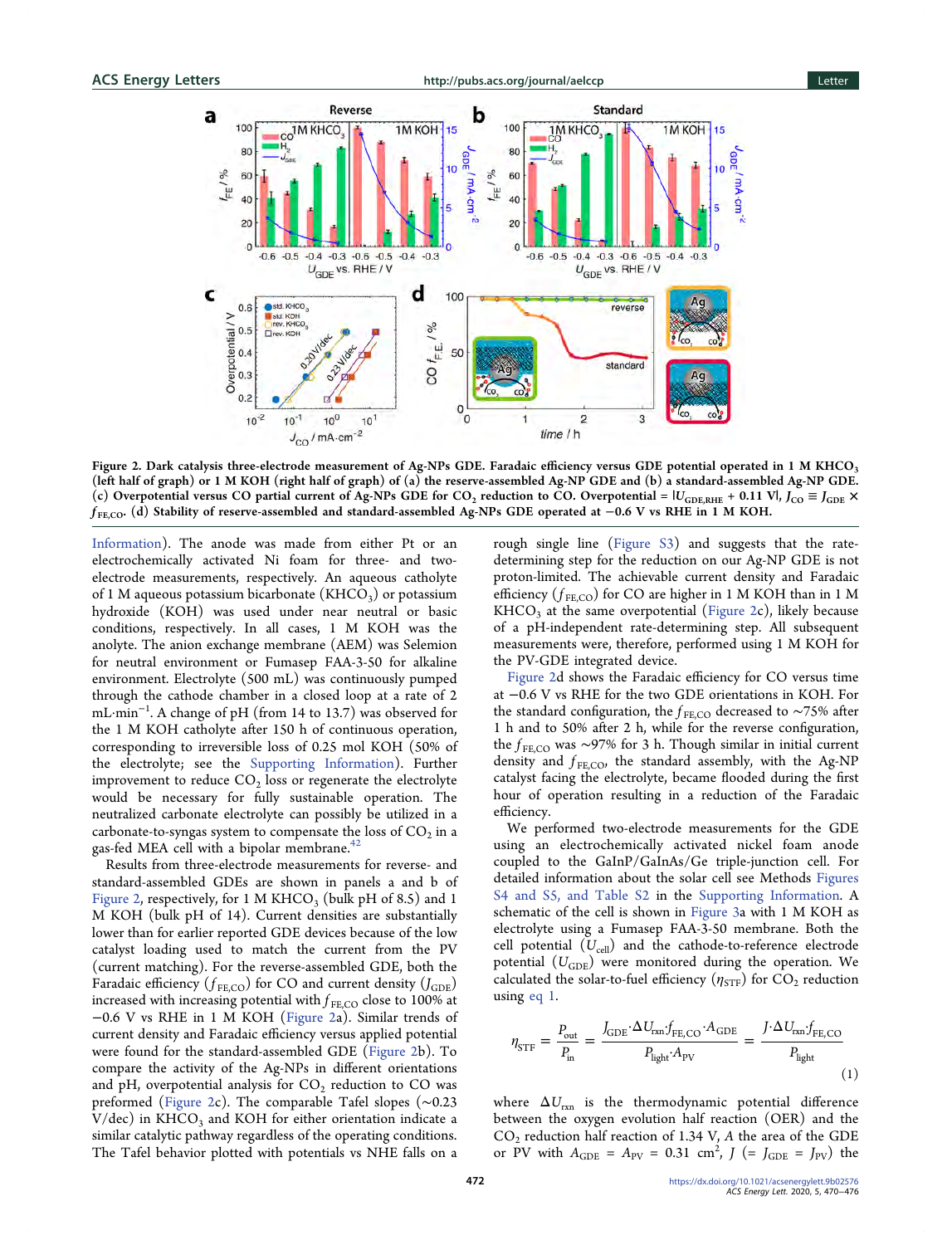ACS Energy Letters **[http://pubs.acs.org/journal/aelccp](http://pubs.acs.org/journal/aelccp?ref=pdf) Letter** Letter



Figure 2. Dark catalysis three-electrode measurement of Ag-NPs GDE. Faradaic efficiency versus GDE potential operated in 1 M KHCO3 (left half of graph) or 1 M KOH (right half of graph) of (a) the reserve-assembled Ag-NP GDE and (b) a standard-assembled Ag-NP GDE. (c) Overpotential versus CO partial current of Ag-NPs GDE for CO<sub>2</sub> reduction to CO. Overpotential =  $|U_{\text{GDE,RHE}} + 0.11 \text{ V}|$ ,  $J_{\text{CO}} \equiv J_{\text{GDE}} \times$  $f_{\rm FECO}$ . (d) Stability of reserve-assembled and standard-assembled Ag-NPs GDE operated at  $-0.6$  V vs RHE in 1 M KOH.

[Information](http://pubs.acs.org/doi/suppl/10.1021/acsenergylett.9b02576/suppl_file/nz9b02576_si_001.pdf)). The anode was made from either Pt or an electrochemically activated Ni foam for three- and twoelectrode measurements, respectively. An aqueous catholyte of 1 M aqueous potassium bicarbonate ( $KHCO<sub>3</sub>$ ) or potassium hydroxide (KOH) was used under near neutral or basic conditions, respectively. In all cases, 1 M KOH was the anolyte. The anion exchange membrane (AEM) was Selemion for neutral environment or Fumasep FAA-3-50 for alkaline environment. Electrolyte (500 mL) was continuously pumped through the cathode chamber in a closed loop at a rate of 2 mL·min<sup>−</sup><sup>1</sup> . A change of pH (from 14 to 13.7) was observed for the 1 M KOH catholyte after 150 h of continuous operation, corresponding to irreversible loss of 0.25 mol KOH (50% of the electrolyte; see the [Supporting Information](http://pubs.acs.org/doi/suppl/10.1021/acsenergylett.9b02576/suppl_file/nz9b02576_si_001.pdf)). Further improvement to reduce  $CO<sub>2</sub>$  loss or regenerate the electrolyte would be necessary for fully sustainable operation. The neutralized carbonate electrolyte can possibly be utilized in a carbonate-to-syngas system to compensate the loss of  $CO<sub>2</sub>$  in a gas-fed MEA cell with a bipolar membrane. $42$ 

Results from three-electrode measurements for reverse- and standard-assembled GDEs are shown in panels a and b of Figure 2, respectively, for 1 M KHCO<sub>3</sub> (bulk pH of 8.5) and 1 M KOH (bulk pH of 14). Current densities are substantially lower than for earlier reported GDE devices because of the low catalyst loading used to match the current from the PV (current matching). For the reverse-assembled GDE, both the Faradaic efficiency ( $f_{\text{FE,CO}}$ ) for CO and current density ( $J_{\text{GDE}}$ ) increased with increasing potential with  $f_{FE,CO}$  close to 100% at −0.6 V vs RHE in 1 M KOH (Figure 2a). Similar trends of current density and Faradaic efficiency versus applied potential were found for the standard-assembled GDE (Figure 2b). To compare the activity of the Ag-NPs in different orientations and pH, overpotential analysis for  $CO<sub>2</sub>$  reduction to CO was preformed (Figure 2c). The comparable Tafel slopes (∼0.23  $V/dec$ ) in KHCO<sub>3</sub> and KOH for either orientation indicate a similar catalytic pathway regardless of the operating conditions. The Tafel behavior plotted with potentials vs NHE falls on a

rough single line [\(Figure S3\)](http://pubs.acs.org/doi/suppl/10.1021/acsenergylett.9b02576/suppl_file/nz9b02576_si_001.pdf) and suggests that the ratedetermining step for the reduction on our Ag-NP GDE is not proton-limited. The achievable current density and Faradaic efficiency  $(f_{FE,CO})$  for CO are higher in 1 M KOH than in 1 M  $KHCO<sub>3</sub>$  at the same overpotential (Figure 2c), likely because of a pH-independent rate-determining step. All subsequent measurements were, therefore, performed using 1 M KOH for the PV-GDE integrated device.

Figure 2d shows the Faradaic efficiency for CO versus time at −0.6 V vs RHE for the two GDE orientations in KOH. For the standard configuration, the  $f_{\text{FE,CO}}$  decreased to ~75% after 1 h and to 50% after 2 h, while for the reverse configuration, the  $f$ <sub>FE,CO</sub> was ∼97% for 3 h. Though similar in initial current density and  $f_{\text{FE,CO}}$ , the standard assembly, with the Ag-NP catalyst facing the electrolyte, became flooded during the first hour of operation resulting in a reduction of the Faradaic efficiency.

We performed two-electrode measurements for the GDE using an electrochemically activated nickel foam anode coupled to the GaInP/GaInAs/Ge triple-junction cell. For detailed information about the solar cell see Methods [Figures](http://pubs.acs.org/doi/suppl/10.1021/acsenergylett.9b02576/suppl_file/nz9b02576_si_001.pdf) [S4 and S5, and Table S2](http://pubs.acs.org/doi/suppl/10.1021/acsenergylett.9b02576/suppl_file/nz9b02576_si_001.pdf) in the [Supporting Information.](http://pubs.acs.org/doi/suppl/10.1021/acsenergylett.9b02576/suppl_file/nz9b02576_si_001.pdf) A schematic of the cell is shown in [Figure 3](#page-3-0)a with 1 M KOH as electrolyte using a Fumasep FAA-3-50 membrane. Both the cell potential  $(U_{cell})$  and the cathode-to-reference electrode potential  $(U_{\text{GDE}})$  were monitored during the operation. We calculated the solar-to-fuel efficiency  $(\eta_{STF})$  for  $CO_2$  reduction using eq 1.

$$
\eta_{\text{STF}} = \frac{P_{\text{out}}}{P_{\text{in}}} = \frac{J_{\text{GDE}} \cdot \Delta U_{\text{rxn}} f_{\text{FE,CO}} \cdot A_{\text{GDE}}}{P_{\text{light}} \cdot A_{\text{PV}}} = \frac{J \cdot \Delta U_{\text{rxn}} f_{\text{FE,CO}}}{P_{\text{light}}} \tag{1}
$$

where  $\Delta U_{\rm rxn}$  is the thermodynamic potential difference between the oxygen evolution half reaction (OER) and the  $CO<sub>2</sub>$  reduction half reaction of 1.34 V, A the area of the GDE or PV with  $A_{\text{GDE}} = A_{\text{PV}} = 0.31 \text{ cm}^2$ ,  $J = J_{\text{GDE}} = J_{\text{PV}}$  the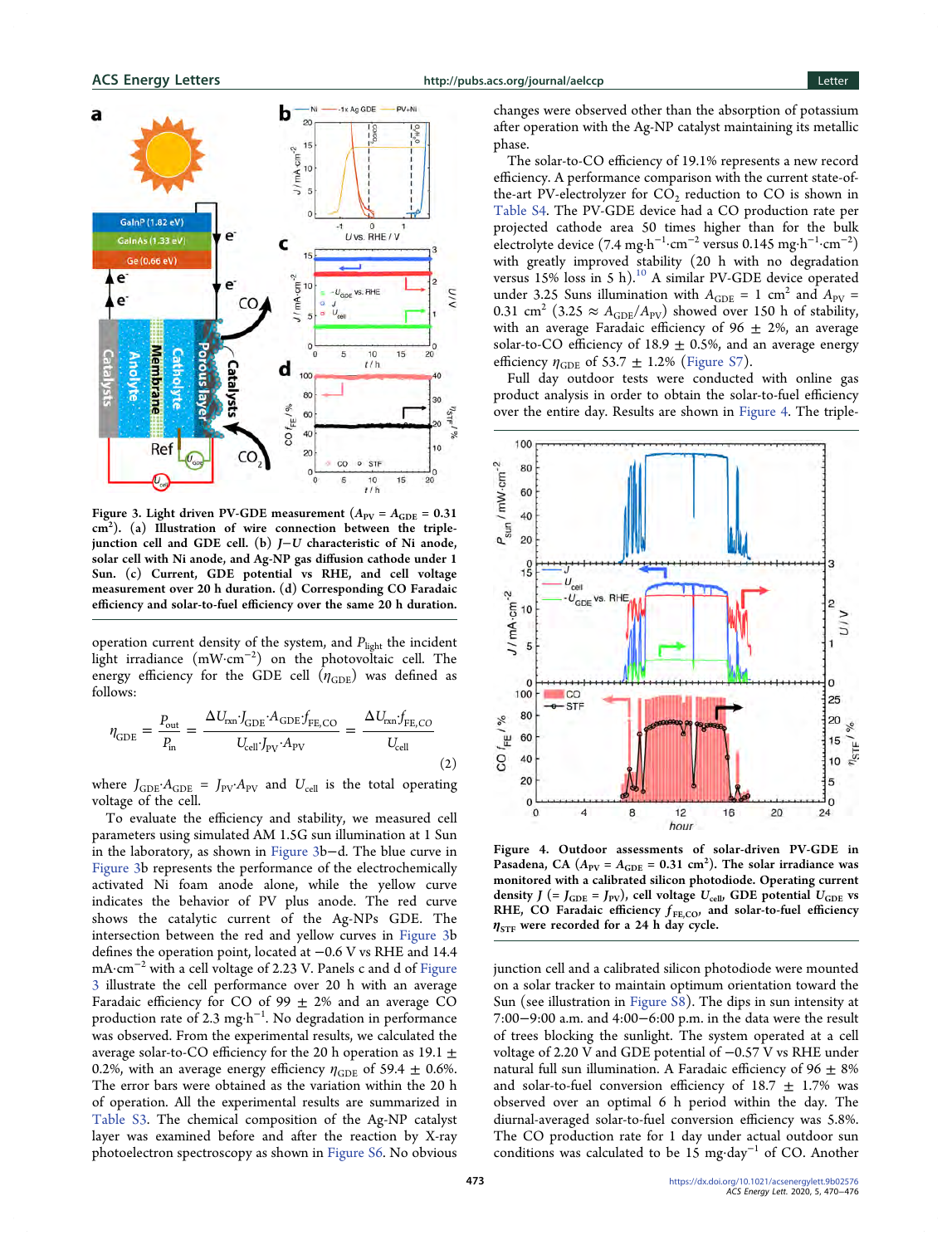<span id="page-3-0"></span>

Figure 3. Light driven PV-GDE measurement  $(A_{PV} = A_{GDE} = 0.31$ cm<sup>2</sup>). (a) Illustration of wire connection between the triplejunction cell and GDE cell. (b) J−U characteristic of Ni anode, solar cell with Ni anode, and Ag-NP gas diffusion cathode under 1 Sun. (c) Current, GDE potential vs RHE, and cell voltage measurement over 20 h duration. (d) Corresponding CO Faradaic efficiency and solar-to-fuel efficiency over the same 20 h duration.

operation current density of the system, and  $P_{\rm light}$  the incident light irradiance (mW·cm<sup>−</sup><sup>2</sup> ) on the photovoltaic cell. The energy efficiency for the GDE cell  $(\eta_{GDE})$  was defined as follows:

$$
\eta_{\rm GDE} = \frac{P_{\rm out}}{P_{\rm in}} = \frac{\Delta U_{\rm rxn} J_{\rm GDE} A_{\rm GDE} f_{\rm FE, CO}}{U_{\rm cell} J_{\rm PV} A_{\rm PV}} = \frac{\Delta U_{\rm rxn} f_{\rm FE, CO}}{U_{\rm cell}} \tag{2}
$$

where  $J_{GDE} \cdot A_{GDE} = J_{PV} \cdot A_{PV}$  and  $U_{cell}$  is the total operating voltage of the cell.

To evaluate the efficiency and stability, we measured cell parameters using simulated AM 1.5G sun illumination at 1 Sun in the laboratory, as shown in Figure 3b−d. The blue curve in Figure 3b represents the performance of the electrochemically activated Ni foam anode alone, while the yellow curve indicates the behavior of PV plus anode. The red curve shows the catalytic current of the Ag-NPs GDE. The intersection between the red and yellow curves in Figure 3b defines the operation point, located at −0.6 V vs RHE and 14.4 mA·cm<sup>−</sup><sup>2</sup> with a cell voltage of 2.23 V. Panels c and d of Figure 3 illustrate the cell performance over 20 h with an average Faradaic efficiency for CO of 99  $\pm$  2% and an average CO production rate of 2.3 mg·h<sup>-1</sup>. No degradation in performance was observed. From the experimental results, we calculated the average solar-to-CO efficiency for the 20 h operation as 19.1  $\pm$ 0.2%, with an average energy efficiency  $\eta_{\text{GDE}}$  of 59.4  $\pm$  0.6%. The error bars were obtained as the variation within the 20 h of operation. All the experimental results are summarized in [Table S3](http://pubs.acs.org/doi/suppl/10.1021/acsenergylett.9b02576/suppl_file/nz9b02576_si_001.pdf). The chemical composition of the Ag-NP catalyst layer was examined before and after the reaction by X-ray photoelectron spectroscopy as shown in [Figure S6.](http://pubs.acs.org/doi/suppl/10.1021/acsenergylett.9b02576/suppl_file/nz9b02576_si_001.pdf) No obvious

changes were observed other than the absorption of potassium after operation with the Ag-NP catalyst maintaining its metallic phase.

The solar-to-CO efficiency of 19.1% represents a new record efficiency. A performance comparison with the current state-ofthe-art PV-electrolyzer for CO<sub>2</sub> reduction to CO is shown in [Table S4](http://pubs.acs.org/doi/suppl/10.1021/acsenergylett.9b02576/suppl_file/nz9b02576_si_001.pdf). The PV-GDE device had a CO production rate per projected cathode area 50 times higher than for the bulk electrolyte device (7.4 mg·h<sup>-1</sup>·cm<sup>-2</sup> versus 0.145 mg·h<sup>-1</sup>·cm<sup>-2</sup>) with greatly improved stability (20 h with no degradation versus 15% loss in 5 h).<sup>[10](#page-5-0)</sup> A similar PV-GDE device operated under 3.25 Suns illumination with  $A_{\text{GDE}} = 1 \text{ cm}^2$  and  $A_{\text{PV}} =$ 0.31 cm<sup>2</sup> (3.25  $\approx$  A<sub>GDE</sub>/A<sub>PV</sub>) showed over 150 h of stability, with an average Faradaic efficiency of  $96 \pm 2\%$ , an average solar-to-CO efficiency of 18.9  $\pm$  0.5%, and an average energy efficiency  $\eta_{GDE}$  of 53.7  $\pm$  1.2% [\(Figure S7\)](http://pubs.acs.org/doi/suppl/10.1021/acsenergylett.9b02576/suppl_file/nz9b02576_si_001.pdf).

Full day outdoor tests were conducted with online gas product analysis in order to obtain the solar-to-fuel efficiency over the entire day. Results are shown in Figure 4. The triple-



Figure 4. Outdoor assessments of solar-driven PV-GDE in Pasadena, CA  $(A_{PV} = A_{GDE} = 0.31 \text{ cm}^2)$ . The solar irradiance was monitored with a calibrated silicon photodiode. Operating current density  $J$  (=  $J_{\text{GDE}}$  =  $J_{\text{PV}}$ ), cell voltage  $U_{\text{cell}}$ , GDE potential  $U_{\text{GDE}}$  vs RHE, CO Faradaic efficiency  $f_{\text{FE,CO}}$ , and solar-to-fuel efficiency  $\eta_{STF}$  were recorded for a 24 h day cycle.

junction cell and a calibrated silicon photodiode were mounted on a solar tracker to maintain optimum orientation toward the Sun (see illustration in [Figure S8\)](http://pubs.acs.org/doi/suppl/10.1021/acsenergylett.9b02576/suppl_file/nz9b02576_si_001.pdf). The dips in sun intensity at 7:00−9:00 a.m. and 4:00−6:00 p.m. in the data were the result of trees blocking the sunlight. The system operated at a cell voltage of 2.20 V and GDE potential of −0.57 V vs RHE under natural full sun illumination. A Faradaic efficiency of  $96 \pm 8\%$ and solar-to-fuel conversion efficiency of  $18.7 \pm 1.7\%$  was observed over an optimal 6 h period within the day. The diurnal-averaged solar-to-fuel conversion efficiency was 5.8%. The CO production rate for 1 day under actual outdoor sun conditions was calculated to be 15 mg·day<sup>−</sup><sup>1</sup> of CO. Another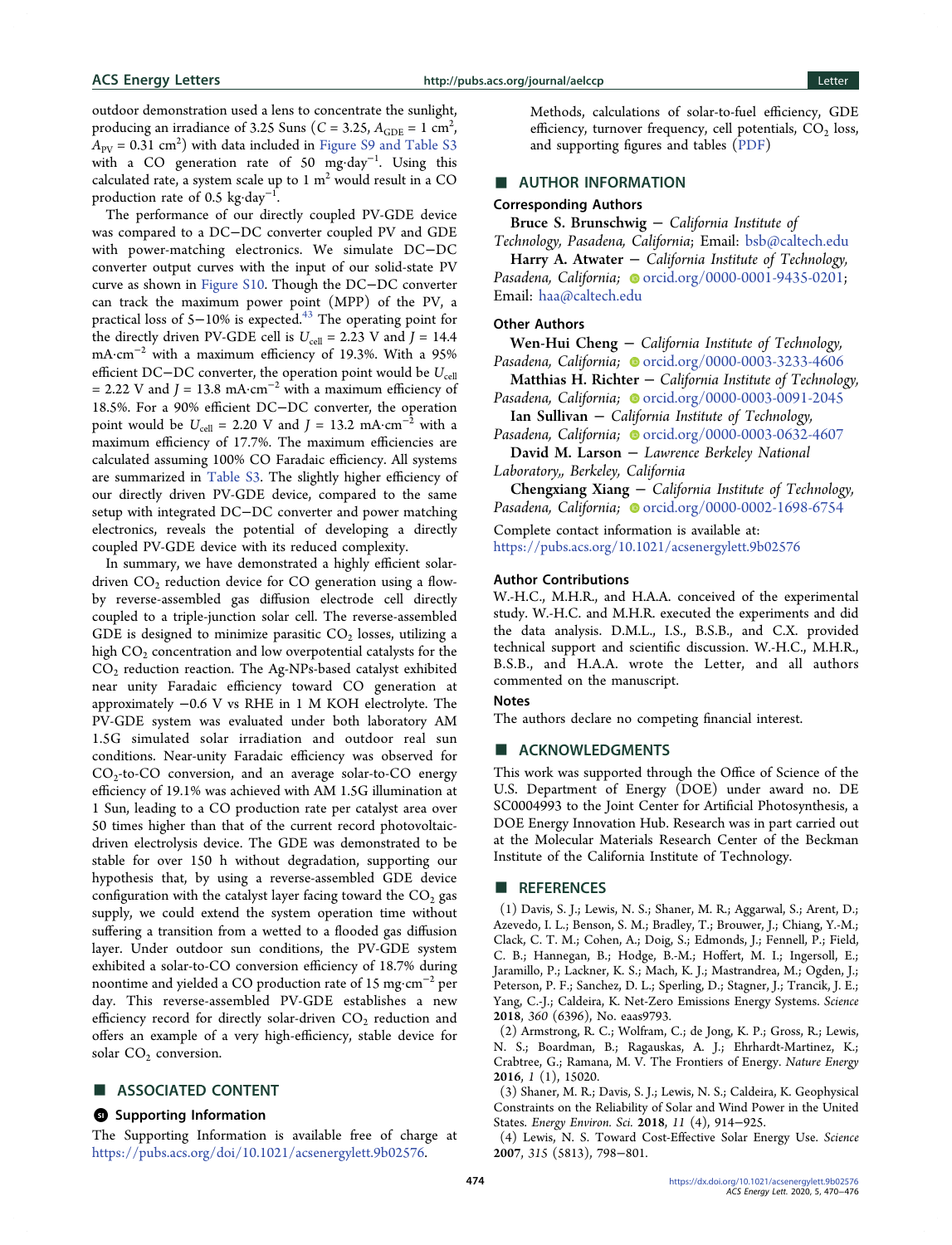<span id="page-4-0"></span>outdoor demonstration used a lens to concentrate the sunlight, producing an irradiance of 3.25 Suns ( $C = 3.25$ ,  $A_{\text{GDE}} = 1 \text{ cm}^2$ ,  $A_{\text{PV}} = 0.31 \text{ cm}^2$ ) with data included in [Figure S9 and Table S3](http://pubs.acs.org/doi/suppl/10.1021/acsenergylett.9b02576/suppl_file/nz9b02576_si_001.pdf) with a CO generation rate of 50 mg·day<sup>−</sup><sup>1</sup> . Using this calculated rate, a system scale up to  $1 \text{ m}^2$  would result in a CO production rate of 0.5 kg·day $^{\rm -1}.$ 

The performance of our directly coupled PV-GDE device was compared to a DC−DC converter coupled PV and GDE with power-matching electronics. We simulate DC−DC converter output curves with the input of our solid-state PV curve as shown in [Figure S10.](http://pubs.acs.org/doi/suppl/10.1021/acsenergylett.9b02576/suppl_file/nz9b02576_si_001.pdf) Though the DC−DC converter can track the maximum power point (MPP) of the PV, a practical loss of 5−10% is expected.<sup>[43](#page-6-0)</sup> The operating point for the directly driven PV-GDE cell is  $U_{cell} = 2.23$  V and  $J = 14.4$ mA·cm<sup>−</sup><sup>2</sup> with a maximum efficiency of 19.3%. With a 95% efficient DC−DC converter, the operation point would be  $U_{\text{cell}}$ = 2.22 V and  $J = 13.8$  mA·cm<sup>-2</sup> with a maximum efficiency of 18.5%. For a 90% efficient DC−DC converter, the operation point would be  $U_{\text{cell}} = 2.20$  V and  $J = 13.2$  mA·cm<sup>-2</sup> with a maximum efficiency of 17.7%. The maximum efficiencies are calculated assuming 100% CO Faradaic efficiency. All systems are summarized in [Table S3.](http://pubs.acs.org/doi/suppl/10.1021/acsenergylett.9b02576/suppl_file/nz9b02576_si_001.pdf) The slightly higher efficiency of our directly driven PV-GDE device, compared to the same setup with integrated DC−DC converter and power matching electronics, reveals the potential of developing a directly coupled PV-GDE device with its reduced complexity.

In summary, we have demonstrated a highly efficient solardriven  $CO<sub>2</sub>$  reduction device for CO generation using a flowby reverse-assembled gas diffusion electrode cell directly coupled to a triple-junction solar cell. The reverse-assembled GDE is designed to minimize parasitic  $CO<sub>2</sub>$  losses, utilizing a high  $CO<sub>2</sub>$  concentration and low overpotential catalysts for the CO2 reduction reaction. The Ag-NPs-based catalyst exhibited near unity Faradaic efficiency toward CO generation at approximately −0.6 V vs RHE in 1 M KOH electrolyte. The PV-GDE system was evaluated under both laboratory AM 1.5G simulated solar irradiation and outdoor real sun conditions. Near-unity Faradaic efficiency was observed for CO<sub>2</sub>-to-CO conversion, and an average solar-to-CO energy efficiency of 19.1% was achieved with AM 1.5G illumination at 1 Sun, leading to a CO production rate per catalyst area over 50 times higher than that of the current record photovoltaicdriven electrolysis device. The GDE was demonstrated to be stable for over 150 h without degradation, supporting our hypothesis that, by using a reverse-assembled GDE device configuration with the catalyst layer facing toward the  $CO<sub>2</sub>$  gas supply, we could extend the system operation time without suffering a transition from a wetted to a flooded gas diffusion layer. Under outdoor sun conditions, the PV-GDE system exhibited a solar-to-CO conversion efficiency of 18.7% during noontime and yielded a CO production rate of 15 mg·cm<sup>−</sup><sup>2</sup> per day. This reverse-assembled PV-GDE establishes a new efficiency record for directly solar-driven  $CO<sub>2</sub>$  reduction and offers an example of a very high-efficiency, stable device for solar  $CO<sub>2</sub>$  conversion.

#### ■ ASSOCIATED CONTENT

#### **9** Supporting Information

The Supporting Information is available free of charge at [https://pubs.acs.org/doi/10.1021/acsenergylett.9b02576](https://pubs.acs.org/doi/10.1021/acsenergylett.9b02576?goto=supporting-info).

Methods, calculations of solar-to-fuel efficiency, GDE efficiency, turnover frequency, cell potentials,  $CO<sub>2</sub>$  loss, and supporting figures and tables [\(PDF\)](http://pubs.acs.org/doi/suppl/10.1021/acsenergylett.9b02576/suppl_file/nz9b02576_si_001.pdf)

## **E** AUTHOR INFORMATION

## Corresponding Authors

Bruce S. Brunschwig − California Institute of

Technology, Pasadena, California; Email: [bsb@caltech.edu](mailto:bsb@caltech.edu) Harry A. Atwater  $-$  California Institute of Technology, Pasadena, California; [orcid.org/0000-0001-9435-0201;](http://orcid.org/0000-0001-9435-0201) Email: [haa@caltech.edu](mailto:haa@caltech.edu)

#### Other Authors

Wen-Hui Cheng − California Institute of Technology, Pasadena, California; Orcid.org/0000-0003-3233-4606

Matthias H. Richter − California Institute of Technology, Pasadena, California; c[orcid.org/0000-0003-0091-2045](http://orcid.org/0000-0003-0091-2045)

Ian Sullivan − California Institute of Technology, Pasadena, California; c[orcid.org/0000-0003-0632-4607](http://orcid.org/0000-0003-0632-4607)

David M. Larson − Lawrence Berkeley National Laboratory,, Berkeley, California

Chengxiang Xiang − California Institute of Technology, Pasadena, California; [orcid.org/0000-0002-1698-6754](http://orcid.org/0000-0002-1698-6754)

Complete contact information is available at: [https://pubs.acs.org/10.1021/acsenergylett.9b02576](https://pubs.acs.org/doi/10.1021/acsenergylett.9b02576?ref=pdf)

#### Author Contributions

W.-H.C., M.H.R., and H.A.A. conceived of the experimental study. W.-H.C. and M.H.R. executed the experiments and did the data analysis. D.M.L., I.S., B.S.B., and C.X. provided technical support and scientific discussion. W.-H.C., M.H.R., B.S.B., and H.A.A. wrote the Letter, and all authors commented on the manuscript.

## **Notes**

The authors declare no competing financial interest.

#### ■ ACKNOWLEDGMENTS

This work was supported through the Office of Science of the U.S. Department of Energy (DOE) under award no. DE SC0004993 to the Joint Center for Artificial Photosynthesis, a DOE Energy Innovation Hub. Research was in part carried out at the Molecular Materials Research Center of the Beckman Institute of the California Institute of Technology.

### ■ REFERENCES

(1) Davis, S. J.; Lewis, N. S.; Shaner, M. R.; Aggarwal, S.; Arent, D.; Azevedo, I. L.; Benson, S. M.; Bradley, T.; Brouwer, J.; Chiang, Y.-M.; Clack, C. T. M.; Cohen, A.; Doig, S.; Edmonds, J.; Fennell, P.; Field, C. B.; Hannegan, B.; Hodge, B.-M.; Hoffert, M. I.; Ingersoll, E.; Jaramillo, P.; Lackner, K. S.; Mach, K. J.; Mastrandrea, M.; Ogden, J.; Peterson, P. F.; Sanchez, D. L.; Sperling, D.; Stagner, J.; Trancik, J. E.; Yang, C.-J.; Caldeira, K. [Net-Zero Emissions Energy Systems.](https://dx.doi.org/10.1126/science.aas9793) Science 2018, 360 (6396), No. eaas9793.

(2) Armstrong, R. C.; Wolfram, C.; de Jong, K. P.; Gross, R.; Lewis, N. S.; Boardman, B.; Ragauskas, A. J.; Ehrhardt-Martinez, K.; Crabtree, G.; Ramana, M. V. [The Frontiers of Energy.](https://dx.doi.org/10.1038/nenergy.2015.20) Nature Energy 2016, 1 (1), 15020.

(3) Shaner, M. R.; Davis, S. J.; Lewis, N. S.; Caldeira, K[. Geophysical](https://dx.doi.org/10.1039/C7EE03029K) [Constraints on the Reliability of Solar and Wind Power in the United](https://dx.doi.org/10.1039/C7EE03029K) [States.](https://dx.doi.org/10.1039/C7EE03029K) Energy Environ. Sci. 2018, 11 (4), 914−925.

(4) Lewis, N. S[. Toward Cost-Effective Solar Energy Use.](https://dx.doi.org/10.1126/science.1137014) Science 2007, 315 (5813), 798−801.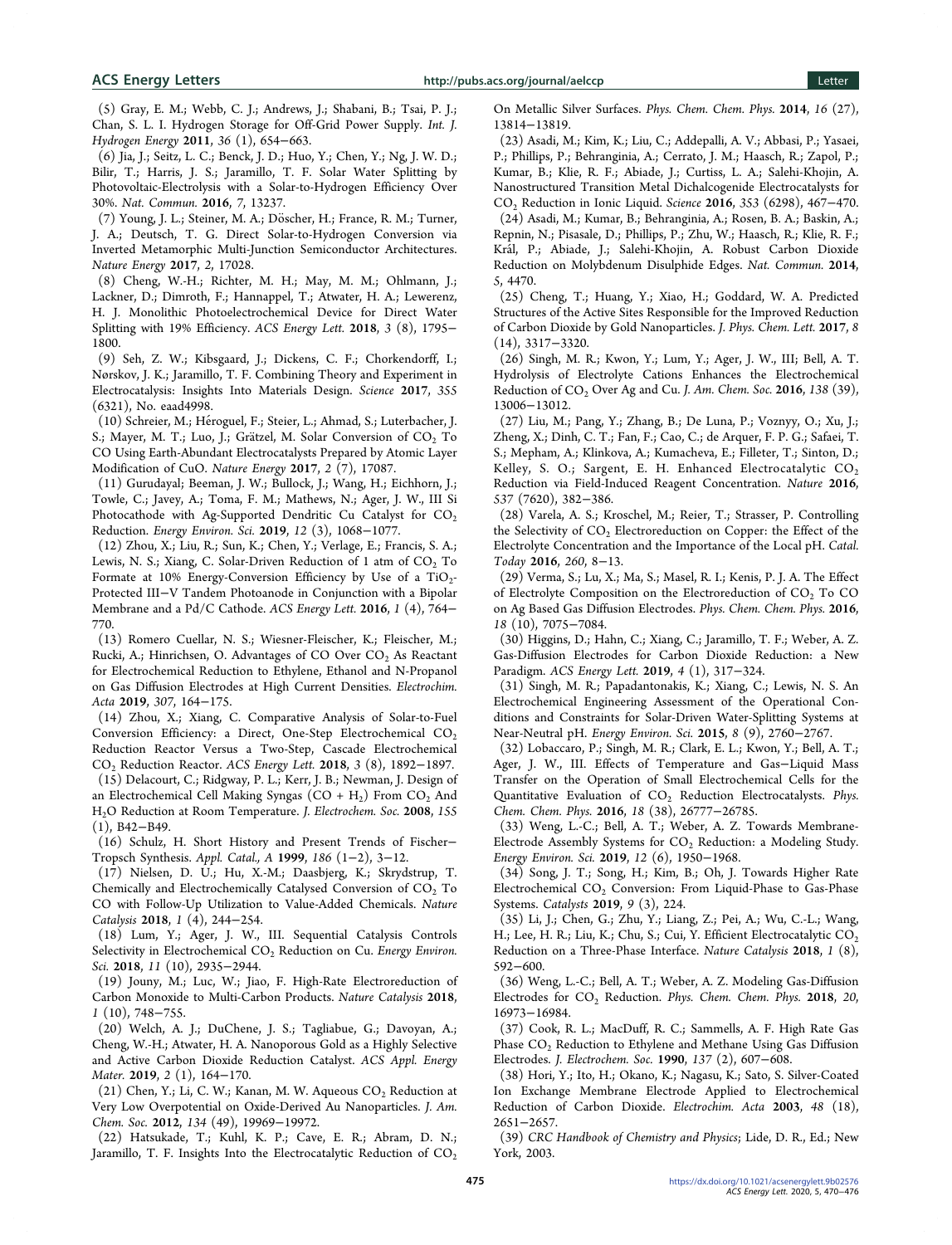<span id="page-5-0"></span>(5) Gray, E. M.; Webb, C. J.; Andrews, J.; Shabani, B.; Tsai, P. J.; Chan, S. L. I[. Hydrogen Storage for Off-Grid Power Supply.](https://dx.doi.org/10.1016/j.ijhydene.2010.09.051) Int. J. Hydrogen Energy 2011, 36 (1), 654−663.

(6) Jia, J.; Seitz, L. C.; Benck, J. D.; Huo, Y.; Chen, Y.; Ng, J. W. D.; Bilir, T.; Harris, J. S.; Jaramillo, T. F[. Solar Water Splitting by](https://dx.doi.org/10.1038/ncomms13237) [Photovoltaic-Electrolysis with a Solar-to-Hydrogen Efficiency Over](https://dx.doi.org/10.1038/ncomms13237) [30%.](https://dx.doi.org/10.1038/ncomms13237) Nat. Commun. 2016, 7, 13237.

(7) Young, J. L.; Steiner, M. A.; Döscher, H.; France, R. M.; Turner, J. A.; Deutsch, T. G[. Direct Solar-to-Hydrogen Conversion via](https://dx.doi.org/10.1038/nenergy.2017.28) [Inverted Metamorphic Multi-Junction Semiconductor Architectures.](https://dx.doi.org/10.1038/nenergy.2017.28) Nature Energy 2017, 2, 17028.

(8) Cheng, W.-H.; Richter, M. H.; May, M. M.; Ohlmann, J.; Lackner, D.; Dimroth, F.; Hannappel, T.; Atwater, H. A.; Lewerenz, H. J[. Monolithic Photoelectrochemical Device for Direct Water](https://dx.doi.org/10.1021/acsenergylett.8b00920) [Splitting with 19% Efficiency.](https://dx.doi.org/10.1021/acsenergylett.8b00920) ACS Energy Lett. 2018, 3 (8), 1795− 1800.

(9) Seh, Z. W.; Kibsgaard, J.; Dickens, C. F.; Chorkendorff, I.; Nørskov, J. K.; Jaramillo, T. F[. Combining Theory and Experiment in](https://dx.doi.org/10.1126/science.aad4998) [Electrocatalysis: Insights Into Materials Design.](https://dx.doi.org/10.1126/science.aad4998) Science 2017, 355 (6321), No. eaad4998.

(10) Schreier, M.; Heroguel, F.; Steier, L.; Ahmad, S.; Luterbacher, J. ́ S.; Mayer, M. T.; Luo, J.; Grätzel, M[. Solar Conversion of CO](https://dx.doi.org/10.1038/nenergy.2017.87)<sub>2</sub> To [CO Using Earth-Abundant Electrocatalysts Prepared by Atomic Layer](https://dx.doi.org/10.1038/nenergy.2017.87) [Modification of CuO.](https://dx.doi.org/10.1038/nenergy.2017.87) Nature Energy 2017, 2 (7), 17087.

(11) Gurudayal; Beeman, J. W.; Bullock, J.; Wang, H.; Eichhorn, J.; Towle, C.; Javey, A.; Toma, F. M.; Mathews, N.; Ager, J. W., III [Si](https://dx.doi.org/10.1039/C8EE03547D) Photocathode with Ag-Supported Dendritic Cu Catalyst for  $CO<sub>2</sub>$ [Reduction.](https://dx.doi.org/10.1039/C8EE03547D) Energy Environ. Sci. 2019, 12 (3), 1068−1077.

(12) Zhou, X.; Liu, R.; Sun, K.; Chen, Y.; Verlage, E.; Francis, S. A.; Lewis, N. S.; Xiang, C. Solar-Driven Reduction of 1 atm of  $CO<sub>2</sub>$  To Formate at 10% Energy-Conversion Efficiency by Use of a  $TiO<sub>2</sub>$ -Protected III−[V Tandem Photoanode in Conjunction with a Bipolar](https://dx.doi.org/10.1021/acsenergylett.6b00317) [Membrane and a Pd/C Cathode.](https://dx.doi.org/10.1021/acsenergylett.6b00317) ACS Energy Lett. 2016, 1 (4), 764− 770.

(13) Romero Cuellar, N. S.; Wiesner-Fleischer, K.; Fleischer, M.; Rucki, A.; Hinrichsen, O. Advantages of CO Over  $CO<sub>2</sub>$  As Reactant [for Electrochemical Reduction to Ethylene, Ethanol and N-Propanol](https://dx.doi.org/10.1016/j.electacta.2019.03.142) [on Gas Diffusion Electrodes at High Current Densities.](https://dx.doi.org/10.1016/j.electacta.2019.03.142) Electrochim. Acta 2019, 307, 164−175.

(14) Zhou, X.; Xiang, C[. Comparative Analysis of Solar-to-Fuel](https://dx.doi.org/10.1021/acsenergylett.8b01077) Conversion Efficiency: a Direct, One-Step Electrochemical  $CO<sub>2</sub>$ [Reduction Reactor Versus a Two-Step, Cascade Electrochemical](https://dx.doi.org/10.1021/acsenergylett.8b01077) CO2 [Reduction Reactor.](https://dx.doi.org/10.1021/acsenergylett.8b01077) ACS Energy Lett. 2018, 3 (8), 1892−1897.

(15) Delacourt, C.; Ridgway, P. L.; Kerr, J. B.; Newman, J[. Design of](https://dx.doi.org/10.1149/1.2801871) an Electrochemical Cell Making Syngas  $(CO + H_2)$  From  $CO_2$  And [H2O Reduction at Room Temperature.](https://dx.doi.org/10.1149/1.2801871) J. Electrochem. Soc. 2008, 155 (1), B42−B49.

(16) Schulz, H[. Short History and Present Trends of Fischer](https://dx.doi.org/10.1016/S0926-860X(99)00160-X)− [Tropsch Synthesis.](https://dx.doi.org/10.1016/S0926-860X(99)00160-X) Appl. Catal., A 1999, 186 (1−2), 3−12.

(17) Nielsen, D. U.; Hu, X.-M.; Daasbjerg, K.; Skrydstrup, T. Chemically and Electrochemically Catalysed Conversion of  $CO<sub>2</sub>$  To [CO with Follow-Up Utilization to Value-Added Chemicals.](https://dx.doi.org/10.1038/s41929-018-0051-3) Nature Catalysis 2018, 1 (4), 244−254.

(18) Lum, Y.; Ager, J. W., III. [Sequential Catalysis Controls](https://dx.doi.org/10.1039/C8EE01501E) Selectivity in Electrochemical  $CO<sub>2</sub>$  Reduction on Cu. Energy Environ. Sci. 2018, 11 (10), 2935−2944.

(19) Jouny, M.; Luc, W.; Jiao, F[. High-Rate Electroreduction of](https://dx.doi.org/10.1038/s41929-018-0133-2) [Carbon Monoxide to Multi-Carbon Products.](https://dx.doi.org/10.1038/s41929-018-0133-2) Nature Catalysis 2018, 1 (10), 748−755.

(20) Welch, A. J.; DuChene, J. S.; Tagliabue, G.; Davoyan, A.; Cheng, W.-H.; Atwater, H. A[. Nanoporous Gold as a Highly Selective](https://dx.doi.org/10.1021/acsaem.8b01570) [and Active Carbon Dioxide Reduction Catalyst.](https://dx.doi.org/10.1021/acsaem.8b01570) ACS Appl. Energy Mater. 2019, 2 (1), 164−170.

 $(21)$  Chen, Y.; Li, C. W.; Kanan, M. W. Aqueous  $CO<sub>2</sub>$  Reduction at [Very Low Overpotential on Oxide-Derived Au Nanoparticles.](https://dx.doi.org/10.1021/ja309317u) J. Am. Chem. Soc. 2012, 134 (49), 19969−19972.

(22) Hatsukade, T.; Kuhl, K. P.; Cave, E. R.; Abram, D. N.; Jaramillo, T. F. Insights Into the Electrocatalytic Reduction of  $CO<sub>2</sub>$ 

[On Metallic Silver Surfaces.](https://dx.doi.org/10.1039/C4CP00692E) Phys. Chem. Chem. Phys. 2014, 16 (27), 13814−13819.

(23) Asadi, M.; Kim, K.; Liu, C.; Addepalli, A. V.; Abbasi, P.; Yasaei, P.; Phillips, P.; Behranginia, A.; Cerrato, J. M.; Haasch, R.; Zapol, P.; Kumar, B.; Klie, R. F.; Abiade, J.; Curtiss, L. A.; Salehi-Khojin, A. [Nanostructured Transition Metal Dichalcogenide Electrocatalysts for](https://dx.doi.org/10.1126/science.aaf4767) CO<sub>2</sub> [Reduction in Ionic Liquid.](https://dx.doi.org/10.1126/science.aaf4767) Science 2016, 353 (6298), 467–470.

(24) Asadi, M.; Kumar, B.; Behranginia, A.; Rosen, B. A.; Baskin, A.; Repnin, N.; Pisasale, D.; Phillips, P.; Zhu, W.; Haasch, R.; Klie, R. F.; Král, P.; Abiade, J.; Salehi-Khojin, A. [Robust Carbon Dioxide](https://dx.doi.org/10.1038/ncomms5470) [Reduction on Molybdenum Disulphide Edges.](https://dx.doi.org/10.1038/ncomms5470) Nat. Commun. 2014, 5, 4470.

(25) Cheng, T.; Huang, Y.; Xiao, H.; Goddard, W. A. [Predicted](https://dx.doi.org/10.1021/acs.jpclett.7b01335) [Structures of the Active Sites Responsible for the Improved Reduction](https://dx.doi.org/10.1021/acs.jpclett.7b01335) [of Carbon Dioxide by Gold Nanoparticles.](https://dx.doi.org/10.1021/acs.jpclett.7b01335) J. Phys. Chem. Lett. 2017, 8 (14), 3317−3320.

(26) Singh, M. R.; Kwon, Y.; Lum, Y.; Ager, J. W., III; Bell, A. T. [Hydrolysis of Electrolyte Cations Enhances the Electrochemical](https://dx.doi.org/10.1021/jacs.6b07612) Reduction of  $CO<sub>2</sub>$  Over Ag and Cu. J. Am. Chem. Soc. 2016, 138 (39), 13006−13012.

(27) Liu, M.; Pang, Y.; Zhang, B.; De Luna, P.; Voznyy, O.; Xu, J.; Zheng, X.; Dinh, C. T.; Fan, F.; Cao, C.; de Arquer, F. P. G.; Safaei, T. S.; Mepham, A.; Klinkova, A.; Kumacheva, E.; Filleter, T.; Sinton, D.; Kelley, S. O.; Sargent, E. H. Enhanced Electrocatalytic  $CO<sub>2</sub>$ [Reduction via Field-Induced Reagent Concentration.](https://dx.doi.org/10.1038/nature19060) Nature 2016, 537 (7620), 382−386.

(28) Varela, A. S.; Kroschel, M.; Reier, T.; Strasser, P. [Controlling](https://dx.doi.org/10.1016/j.cattod.2015.06.009) the Selectivity of  $CO<sub>2</sub>$  [Electroreduction on Copper: the Effect of the](https://dx.doi.org/10.1016/j.cattod.2015.06.009) [Electrolyte Concentration and the Importance of the Local pH.](https://dx.doi.org/10.1016/j.cattod.2015.06.009) Catal. Today 2016, 260, 8−13.

(29) Verma, S.; Lu, X.; Ma, S.; Masel, R. I.; Kenis, P. J. A[. The Effect](https://dx.doi.org/10.1039/C5CP05665A) of Electrolyte Composition on the Electroreduction of  $CO<sub>2</sub>$  To  $CO$ [on Ag Based Gas Diffusion Electrodes.](https://dx.doi.org/10.1039/C5CP05665A) Phys. Chem. Chem. Phys. 2016, 18 (10), 7075−7084.

(30) Higgins, D.; Hahn, C.; Xiang, C.; Jaramillo, T. F.; Weber, A. Z. [Gas-Diffusion Electrodes for Carbon Dioxide Reduction: a New](https://dx.doi.org/10.1021/acsenergylett.8b02035) [Paradigm.](https://dx.doi.org/10.1021/acsenergylett.8b02035) ACS Energy Lett. 2019, 4 (1), 317−324.

(31) Singh, M. R.; Papadantonakis, K.; Xiang, C.; Lewis, N. S[. An](https://dx.doi.org/10.1039/C5EE01721A) [Electrochemical Engineering Assessment of the Operational Con](https://dx.doi.org/10.1039/C5EE01721A)[ditions and Constraints for Solar-Driven Water-Splitting Systems at](https://dx.doi.org/10.1039/C5EE01721A) [Near-Neutral pH.](https://dx.doi.org/10.1039/C5EE01721A) Energy Environ. Sci. 2015, 8 (9), 2760−2767.

(32) Lobaccaro, P.; Singh, M. R.; Clark, E. L.; Kwon, Y.; Bell, A. T.; Ager, J. W., III. [Effects of Temperature and Gas](https://dx.doi.org/10.1039/C6CP05287H)−Liquid Mass [Transfer on the Operation of Small Electrochemical Cells for the](https://dx.doi.org/10.1039/C6CP05287H) Quantitative Evaluation of  $CO<sub>2</sub>$  Reduction Electrocatalysts. Phys. Chem. Chem. Phys. 2016, 18 (38), 26777−26785.

(33) Weng, L.-C.; Bell, A. T.; Weber, A. Z. [Towards Membrane-](https://dx.doi.org/10.1039/C9EE00909D)Electrode Assembly Systems for CO<sub>2</sub> Reduction: a Modeling Study. Energy Environ. Sci. 2019, 12 (6), 1950−1968.

(34) Song, J. T.; Song, H.; Kim, B.; Oh, J[. Towards Higher Rate](https://dx.doi.org/10.3390/catal9030224) Electrochemical  $CO<sub>2</sub>$  [Conversion: From Liquid-Phase to Gas-Phase](https://dx.doi.org/10.3390/catal9030224) [Systems.](https://dx.doi.org/10.3390/catal9030224) Catalysts 2019, 9 (3), 224.

(35) Li, J.; Chen, G.; Zhu, Y.; Liang, Z.; Pei, A.; Wu, C.-L.; Wang, H.; Lee, H. R.; Liu, K.; Chu, S.; Cui, Y. Efficient Electrocatalytic CO<sub>2</sub> [Reduction on a Three-Phase Interface.](https://dx.doi.org/10.1038/s41929-018-0108-3) Nature Catalysis 2018, 1 (8), 592−600.

(36) Weng, L.-C.; Bell, A. T.; Weber, A. Z. [Modeling Gas-Diffusion](https://dx.doi.org/10.1039/C8CP01319E) Electrodes for CO<sub>2</sub> Reduction. Phys. Chem. Chem. Phys. 2018, 20, 16973−16984.

(37) Cook, R. L.; MacDuff, R. C.; Sammells, A. F. [High Rate Gas](https://dx.doi.org/10.1149/1.2086515) Phase CO<sub>2</sub> [Reduction to Ethylene and Methane Using Gas Diffusion](https://dx.doi.org/10.1149/1.2086515) [Electrodes.](https://dx.doi.org/10.1149/1.2086515) J. Electrochem. Soc. 1990, 137 (2), 607−608.

(38) Hori, Y.; Ito, H.; Okano, K.; Nagasu, K.; Sato, S[. Silver-Coated](https://dx.doi.org/10.1016/S0013-4686(03)00311-6) [Ion Exchange Membrane Electrode Applied to Electrochemical](https://dx.doi.org/10.1016/S0013-4686(03)00311-6) [Reduction of Carbon Dioxide.](https://dx.doi.org/10.1016/S0013-4686(03)00311-6) Electrochim. Acta 2003, 48 (18), 2651−2657.

(39) CRC Handbook of Chemistry and Physics; Lide, D. R., Ed.; New York, 2003.